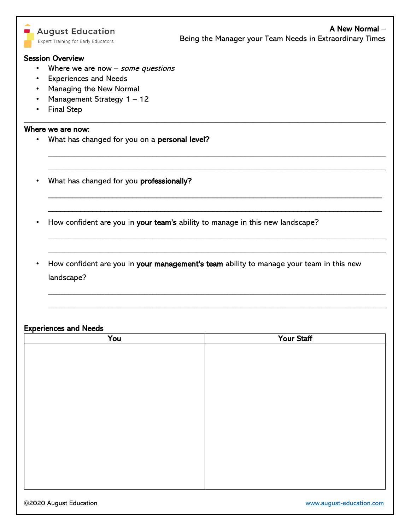|   | <b>August Education</b><br><b>Expert Training for Early Educators</b> | A New Normal -<br>Being the Manager your Team Needs in Extraordinary Times              |  |  |  |  |
|---|-----------------------------------------------------------------------|-----------------------------------------------------------------------------------------|--|--|--|--|
|   | <b>Session Overview</b>                                               |                                                                                         |  |  |  |  |
|   | Where we are now $-$ some questions                                   |                                                                                         |  |  |  |  |
| ٠ | <b>Experiences and Needs</b>                                          |                                                                                         |  |  |  |  |
|   | Managing the New Normal                                               |                                                                                         |  |  |  |  |
|   | Management Strategy 1 - 12                                            |                                                                                         |  |  |  |  |
|   | <b>Final Step</b>                                                     |                                                                                         |  |  |  |  |
|   | Where we are now:                                                     |                                                                                         |  |  |  |  |
|   | What has changed for you on a personal level?                         |                                                                                         |  |  |  |  |
|   | What has changed for you professionally?                              |                                                                                         |  |  |  |  |
|   |                                                                       | How confident are you in your team's ability to manage in this new landscape?           |  |  |  |  |
|   | landscape?                                                            | How confident are you in your management's team ability to manage your team in this new |  |  |  |  |
|   |                                                                       |                                                                                         |  |  |  |  |

## Experiences and Needs

| You | Your Staff |
|-----|------------|
|     |            |
|     |            |
|     |            |
|     |            |
|     |            |
|     |            |
|     |            |
|     |            |
|     |            |
|     |            |
|     |            |
|     |            |
|     |            |
|     |            |
|     |            |

٦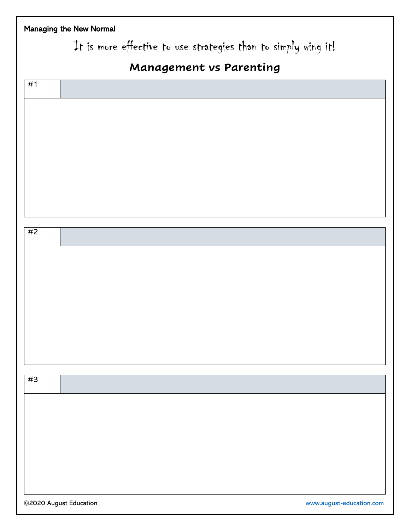| Managing the New Normal |                                                                |  |
|-------------------------|----------------------------------------------------------------|--|
|                         | It is more effective to use strategies than to simply wing it! |  |
|                         | Management vs Parenting                                        |  |
| #1                      |                                                                |  |
|                         |                                                                |  |
|                         |                                                                |  |
|                         |                                                                |  |
|                         |                                                                |  |
|                         |                                                                |  |
|                         |                                                                |  |
|                         |                                                                |  |
| #2                      |                                                                |  |
|                         |                                                                |  |
|                         |                                                                |  |
|                         |                                                                |  |
|                         |                                                                |  |
|                         |                                                                |  |
|                         |                                                                |  |
|                         |                                                                |  |
| #3                      |                                                                |  |
|                         |                                                                |  |
|                         |                                                                |  |
|                         |                                                                |  |
|                         |                                                                |  |
|                         |                                                                |  |
|                         |                                                                |  |
| ©2020 August Education  | www.august-education.com                                       |  |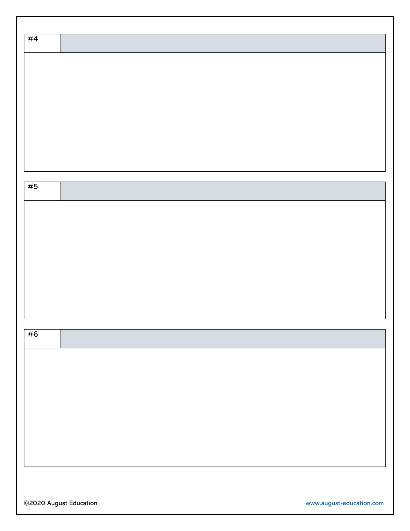| #4 |  |  |  |
|----|--|--|--|
|    |  |  |  |
|    |  |  |  |
|    |  |  |  |
|    |  |  |  |
|    |  |  |  |
|    |  |  |  |
|    |  |  |  |
|    |  |  |  |
|    |  |  |  |
|    |  |  |  |
| #5 |  |  |  |
|    |  |  |  |
|    |  |  |  |
|    |  |  |  |
|    |  |  |  |
|    |  |  |  |
|    |  |  |  |
|    |  |  |  |
|    |  |  |  |
|    |  |  |  |
| #6 |  |  |  |
|    |  |  |  |
|    |  |  |  |
|    |  |  |  |
|    |  |  |  |
|    |  |  |  |
|    |  |  |  |
|    |  |  |  |
|    |  |  |  |
|    |  |  |  |
|    |  |  |  |
|    |  |  |  |

©2020 August Education [www.august-education.com](http://www.august-education.com/)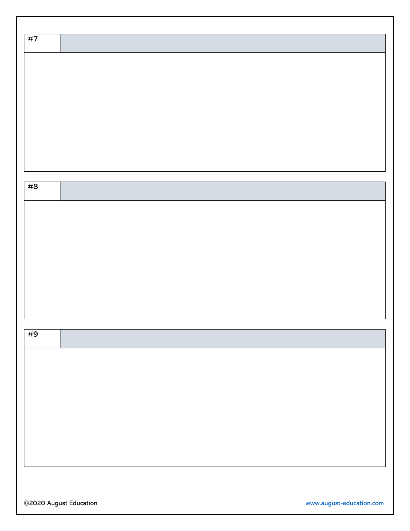| #7 |  |
|----|--|
|    |  |
|    |  |
|    |  |
|    |  |
|    |  |
|    |  |
|    |  |
|    |  |
|    |  |
|    |  |
| #8 |  |
|    |  |
|    |  |
|    |  |
|    |  |
|    |  |
|    |  |
|    |  |
|    |  |
|    |  |
|    |  |
|    |  |
| #9 |  |
|    |  |
|    |  |
|    |  |
|    |  |
|    |  |
|    |  |
|    |  |
|    |  |
|    |  |
|    |  |
|    |  |
|    |  |

©2020 August Education [www.august-education.com](http://www.august-education.com/)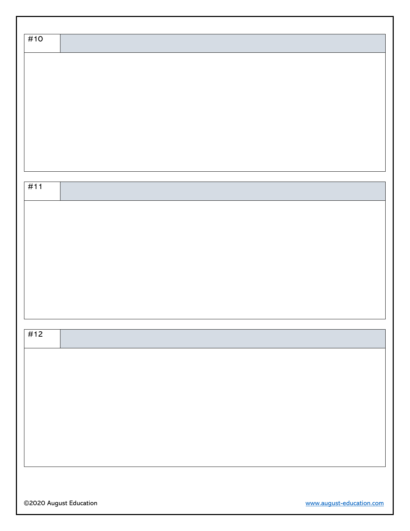| #10 |  |
|-----|--|
|     |  |
|     |  |
|     |  |
|     |  |
|     |  |
|     |  |
|     |  |
|     |  |
| #11 |  |
|     |  |
|     |  |
|     |  |
|     |  |
|     |  |
|     |  |
|     |  |
|     |  |
| #12 |  |
|     |  |
|     |  |
|     |  |
|     |  |
|     |  |
|     |  |
|     |  |
|     |  |
|     |  |

©2020 August Education [www.august-education.com](http://www.august-education.com/)